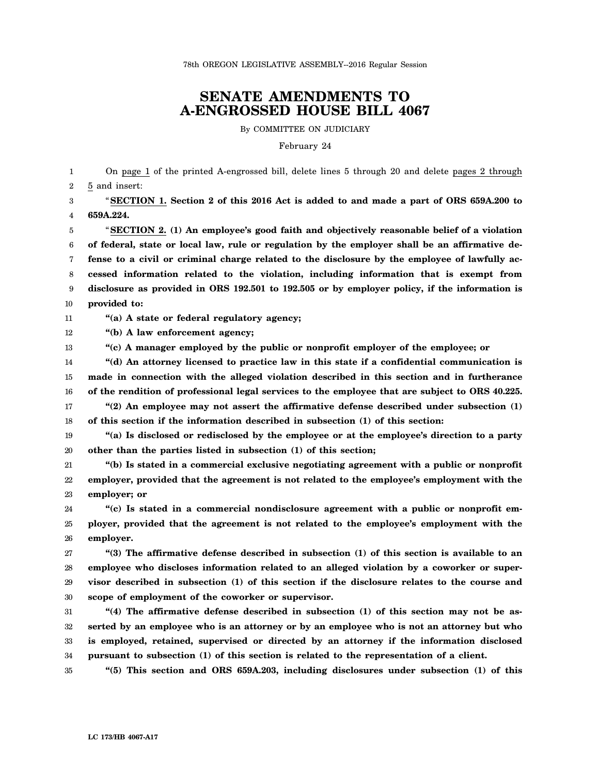## **SENATE AMENDMENTS TO A-ENGROSSED HOUSE BILL 4067**

By COMMITTEE ON JUDICIARY

February 24

1 2 3 4 5 6 7 8 9 10 11 12 13 14 15 16 17 18 19 20 21 22 23 24 25 26 27 28 29 30 31 32 On page 1 of the printed A-engrossed bill, delete lines 5 through 20 and delete pages 2 through 5 and insert: "**SECTION 1. Section 2 of this 2016 Act is added to and made a part of ORS 659A.200 to 659A.224.** "**SECTION 2. (1) An employee's good faith and objectively reasonable belief of a violation of federal, state or local law, rule or regulation by the employer shall be an affirmative defense to a civil or criminal charge related to the disclosure by the employee of lawfully accessed information related to the violation, including information that is exempt from disclosure as provided in ORS 192.501 to 192.505 or by employer policy, if the information is provided to: "(a) A state or federal regulatory agency; "(b) A law enforcement agency; "(c) A manager employed by the public or nonprofit employer of the employee; or "(d) An attorney licensed to practice law in this state if a confidential communication is made in connection with the alleged violation described in this section and in furtherance of the rendition of professional legal services to the employee that are subject to ORS 40.225. "(2) An employee may not assert the affirmative defense described under subsection (1) of this section if the information described in subsection (1) of this section: "(a) Is disclosed or redisclosed by the employee or at the employee's direction to a party other than the parties listed in subsection (1) of this section; "(b) Is stated in a commercial exclusive negotiating agreement with a public or nonprofit employer, provided that the agreement is not related to the employee's employment with the employer; or "(c) Is stated in a commercial nondisclosure agreement with a public or nonprofit employer, provided that the agreement is not related to the employee's employment with the employer. "(3) The affirmative defense described in subsection (1) of this section is available to an employee who discloses information related to an alleged violation by a coworker or supervisor described in subsection (1) of this section if the disclosure relates to the course and scope of employment of the coworker or supervisor. "(4) The affirmative defense described in subsection (1) of this section may not be asserted by an employee who is an attorney or by an employee who is not an attorney but who**

34 **pursuant to subsection (1) of this section is related to the representation of a client.**

35 **"(5) This section and ORS 659A.203, including disclosures under subsection (1) of this**

**is employed, retained, supervised or directed by an attorney if the information disclosed**

33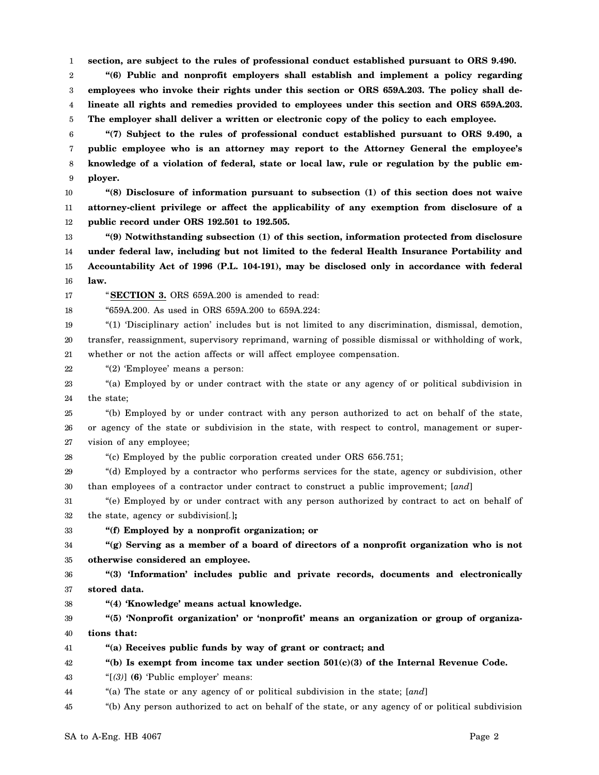1 **section, are subject to the rules of professional conduct established pursuant to ORS 9.490.**

2 3 4 5 **"(6) Public and nonprofit employers shall establish and implement a policy regarding employees who invoke their rights under this section or ORS 659A.203. The policy shall delineate all rights and remedies provided to employees under this section and ORS 659A.203. The employer shall deliver a written or electronic copy of the policy to each employee.**

6 7 8 9 **"(7) Subject to the rules of professional conduct established pursuant to ORS 9.490, a public employee who is an attorney may report to the Attorney General the employee's knowledge of a violation of federal, state or local law, rule or regulation by the public employer.**

10 11 12 **"(8) Disclosure of information pursuant to subsection (1) of this section does not waive attorney-client privilege or affect the applicability of any exemption from disclosure of a public record under ORS 192.501 to 192.505.**

13 14 15 16 **"(9) Notwithstanding subsection (1) of this section, information protected from disclosure under federal law, including but not limited to the federal Health Insurance Portability and Accountability Act of 1996 (P.L. 104-191), may be disclosed only in accordance with federal law.**

17 18 "**SECTION 3.** ORS 659A.200 is amended to read:

"659A.200. As used in ORS 659A.200 to 659A.224:

19 20 21 "(1) 'Disciplinary action' includes but is not limited to any discrimination, dismissal, demotion, transfer, reassignment, supervisory reprimand, warning of possible dismissal or withholding of work, whether or not the action affects or will affect employee compensation.

22 "(2) 'Employee' means a person:

23 24 "(a) Employed by or under contract with the state or any agency of or political subdivision in the state;

25 26 27 "(b) Employed by or under contract with any person authorized to act on behalf of the state, or agency of the state or subdivision in the state, with respect to control, management or supervision of any employee;

28 "(c) Employed by the public corporation created under ORS 656.751;

29 30 "(d) Employed by a contractor who performs services for the state, agency or subdivision, other than employees of a contractor under contract to construct a public improvement; [*and*]

31 32 "(e) Employed by or under contract with any person authorized by contract to act on behalf of the state, agency or subdivision[*.*]**;**

33 **"(f) Employed by a nonprofit organization; or**

34 35 **"(g) Serving as a member of a board of directors of a nonprofit organization who is not otherwise considered an employee.**

36 37 **"(3) 'Information' includes public and private records, documents and electronically stored data.**

38 **"(4) 'Knowledge' means actual knowledge.**

39 40 **"(5) 'Nonprofit organization' or 'nonprofit' means an organization or group of organizations that:**

41 **"(a) Receives public funds by way of grant or contract; and**

42 **"(b) Is exempt from income tax under section 501(c)(3) of the Internal Revenue Code.**

- 43 "[*(3)*] **(6)** 'Public employer' means:
- 44 "(a) The state or any agency of or political subdivision in the state; [*and*]

45 "(b) Any person authorized to act on behalf of the state, or any agency of or political subdivision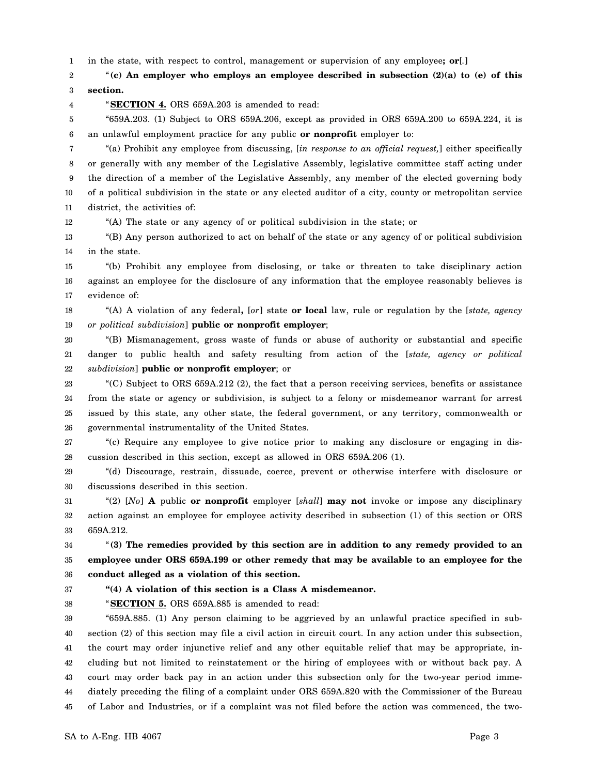1 in the state, with respect to control, management or supervision of any employee**; or**[*.*]

2 3 "**(c) An employer who employs an employee described in subsection (2)(a) to (e) of this section.**

4

"**SECTION 4.** ORS 659A.203 is amended to read:

5 6 "659A.203. (1) Subject to ORS 659A.206, except as provided in ORS 659A.200 to 659A.224, it is an unlawful employment practice for any public **or nonprofit** employer to:

7 8 9 10 11 "(a) Prohibit any employee from discussing, [*in response to an official request,*] either specifically or generally with any member of the Legislative Assembly, legislative committee staff acting under the direction of a member of the Legislative Assembly, any member of the elected governing body of a political subdivision in the state or any elected auditor of a city, county or metropolitan service district, the activities of:

12 "(A) The state or any agency of or political subdivision in the state; or

13 14 "(B) Any person authorized to act on behalf of the state or any agency of or political subdivision in the state.

15 16 17 "(b) Prohibit any employee from disclosing, or take or threaten to take disciplinary action against an employee for the disclosure of any information that the employee reasonably believes is evidence of:

18 19 "(A) A violation of any federal**,** [*or*] state **or local** law, rule or regulation by the [*state, agency or political subdivision*] **public or nonprofit employer**;

20 21 22 "(B) Mismanagement, gross waste of funds or abuse of authority or substantial and specific danger to public health and safety resulting from action of the [*state, agency or political subdivision*] **public or nonprofit employer**; or

23 24 25 26 "(C) Subject to ORS 659A.212 (2), the fact that a person receiving services, benefits or assistance from the state or agency or subdivision, is subject to a felony or misdemeanor warrant for arrest issued by this state, any other state, the federal government, or any territory, commonwealth or governmental instrumentality of the United States.

27 28 "(c) Require any employee to give notice prior to making any disclosure or engaging in discussion described in this section, except as allowed in ORS 659A.206 (1).

29 30 "(d) Discourage, restrain, dissuade, coerce, prevent or otherwise interfere with disclosure or discussions described in this section.

31 32 33 "(2) [*No*] **A** public **or nonprofit** employer [*shall*] **may not** invoke or impose any disciplinary action against an employee for employee activity described in subsection (1) of this section or ORS 659A.212.

34 35 36 "**(3) The remedies provided by this section are in addition to any remedy provided to an employee under ORS 659A.199 or other remedy that may be available to an employee for the conduct alleged as a violation of this section.**

37 38

"**SECTION 5.** ORS 659A.885 is amended to read:

**"(4) A violation of this section is a Class A misdemeanor.**

39 40 41 42 43 44 45 "659A.885. (1) Any person claiming to be aggrieved by an unlawful practice specified in subsection (2) of this section may file a civil action in circuit court. In any action under this subsection, the court may order injunctive relief and any other equitable relief that may be appropriate, including but not limited to reinstatement or the hiring of employees with or without back pay. A court may order back pay in an action under this subsection only for the two-year period immediately preceding the filing of a complaint under ORS 659A.820 with the Commissioner of the Bureau of Labor and Industries, or if a complaint was not filed before the action was commenced, the two-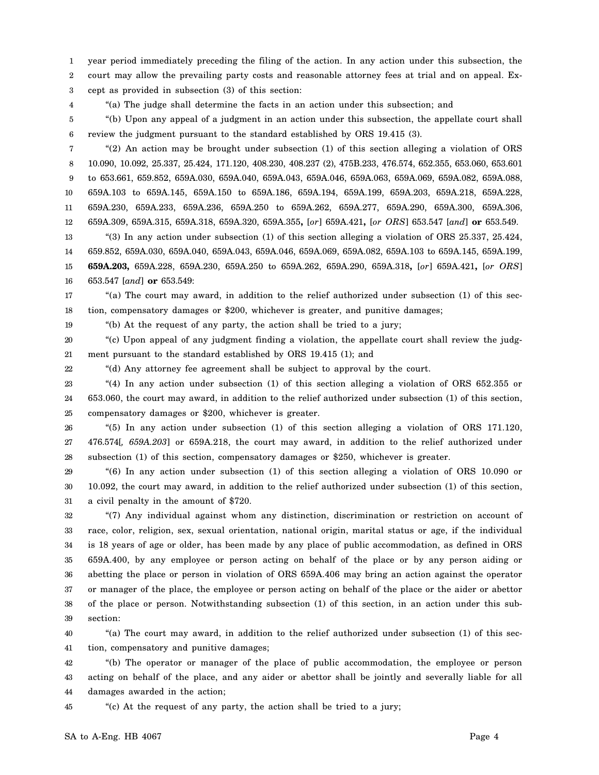1 2 year period immediately preceding the filing of the action. In any action under this subsection, the court may allow the prevailing party costs and reasonable attorney fees at trial and on appeal. Ex-

3 cept as provided in subsection (3) of this section:

4

19

22

"(a) The judge shall determine the facts in an action under this subsection; and

5 6 "(b) Upon any appeal of a judgment in an action under this subsection, the appellate court shall review the judgment pursuant to the standard established by ORS 19.415 (3).

7 8 9 10 11 12 "(2) An action may be brought under subsection (1) of this section alleging a violation of ORS 10.090, 10.092, 25.337, 25.424, 171.120, 408.230, 408.237 (2), 475B.233, 476.574, 652.355, 653.060, 653.601 to 653.661, 659.852, 659A.030, 659A.040, 659A.043, 659A.046, 659A.063, 659A.069, 659A.082, 659A.088, 659A.103 to 659A.145, 659A.150 to 659A.186, 659A.194, 659A.199, 659A.203, 659A.218, 659A.228, 659A.230, 659A.233, 659A.236, 659A.250 to 659A.262, 659A.277, 659A.290, 659A.300, 659A.306, 659A.309, 659A.315, 659A.318, 659A.320, 659A.355**,** [*or*] 659A.421**,** [*or ORS*] 653.547 [*and*] **or** 653.549.

13 14 15 16 "(3) In any action under subsection (1) of this section alleging a violation of ORS 25.337, 25.424, 659.852, 659A.030, 659A.040, 659A.043, 659A.046, 659A.069, 659A.082, 659A.103 to 659A.145, 659A.199, **659A.203,** 659A.228, 659A.230, 659A.250 to 659A.262, 659A.290, 659A.318**,** [*or*] 659A.421**,** [*or ORS*] 653.547 [*and*] **or** 653.549:

17 18 "(a) The court may award, in addition to the relief authorized under subsection (1) of this section, compensatory damages or \$200, whichever is greater, and punitive damages;

"(b) At the request of any party, the action shall be tried to a jury;

20 21 "(c) Upon appeal of any judgment finding a violation, the appellate court shall review the judgment pursuant to the standard established by ORS 19.415 (1); and

"(d) Any attorney fee agreement shall be subject to approval by the court.

23 24 25 "(4) In any action under subsection (1) of this section alleging a violation of ORS 652.355 or 653.060, the court may award, in addition to the relief authorized under subsection (1) of this section, compensatory damages or \$200, whichever is greater.

26 27 28 "(5) In any action under subsection (1) of this section alleging a violation of ORS 171.120, 476.574[*, 659A.203*] or 659A.218, the court may award, in addition to the relief authorized under subsection (1) of this section, compensatory damages or \$250, whichever is greater.

29 30 31 "(6) In any action under subsection (1) of this section alleging a violation of ORS 10.090 or 10.092, the court may award, in addition to the relief authorized under subsection (1) of this section, a civil penalty in the amount of \$720.

32 33 34 35 36 37 38 39 "(7) Any individual against whom any distinction, discrimination or restriction on account of race, color, religion, sex, sexual orientation, national origin, marital status or age, if the individual is 18 years of age or older, has been made by any place of public accommodation, as defined in ORS 659A.400, by any employee or person acting on behalf of the place or by any person aiding or abetting the place or person in violation of ORS 659A.406 may bring an action against the operator or manager of the place, the employee or person acting on behalf of the place or the aider or abettor of the place or person. Notwithstanding subsection (1) of this section, in an action under this subsection:

40 41 "(a) The court may award, in addition to the relief authorized under subsection (1) of this section, compensatory and punitive damages;

42 43 44 "(b) The operator or manager of the place of public accommodation, the employee or person acting on behalf of the place, and any aider or abettor shall be jointly and severally liable for all damages awarded in the action;

45 "(c) At the request of any party, the action shall be tried to a jury;